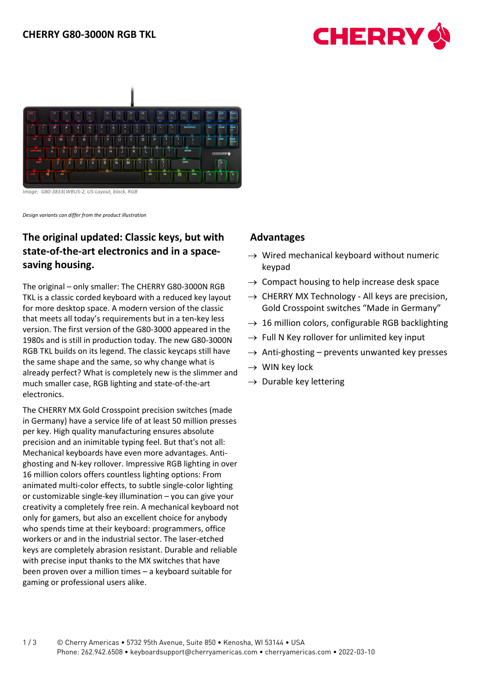



*Image: G80-3833LWBUS-2, US-Layout, black, RGB*

*Design variants can differ from the product illustration*

# **The original updated: Classic keys, but with state-of-the-art electronics and in a spacesaving housing.**

The original – only smaller: The CHERRY G80-3000N RGB TKL is a classic corded keyboard with a reduced key layout for more desktop space. A modern version of the classic that meets all today's requirements but in a ten-key less version. The first version of the G80-3000 appeared in the 1980s and is still in production today. The new G80-3000N RGB TKL builds on its legend. The classic keycaps still have the same shape and the same, so why change what is already perfect? What is completely new is the slimmer and much smaller case, RGB lighting and state-of-the-art electronics.

The CHERRY MX Gold Crosspoint precision switches (made in Germany) have a service life of at least 50 million presses per key. High quality manufacturing ensures absolute precision and an inimitable typing feel. But that's not all: Mechanical keyboards have even more advantages. Antighosting and N-key rollover. Impressive RGB lighting in over 16 million colors offers countless lighting options: From animated multi-color effects, to subtle single-color lighting or customizable single-key illumination – you can give your creativity a completely free rein. A mechanical keyboard not only for gamers, but also an excellent choice for anybody who spends time at their keyboard: programmers, office workers or and in the industrial sector. The laser-etched keys are completely abrasion resistant. Durable and reliable with precise input thanks to the MX switches that have been proven over a million times – a keyboard suitable for gaming or professional users alike.

# **Advantages**

- $\rightarrow$  Wired mechanical keyboard without numeric keypad
- $\rightarrow$  Compact housing to help increase desk space
- $\rightarrow$  CHERRY MX Technology All keys are precision, Gold Crosspoint switches "Made in Germany"
- $\rightarrow$  16 million colors, configurable RGB backlighting
- $\rightarrow$  Full N Key rollover for unlimited key input
- $\rightarrow$  Anti-ghosting prevents unwanted key presses
- $\rightarrow$  WIN key lock
- $\rightarrow$  Durable key lettering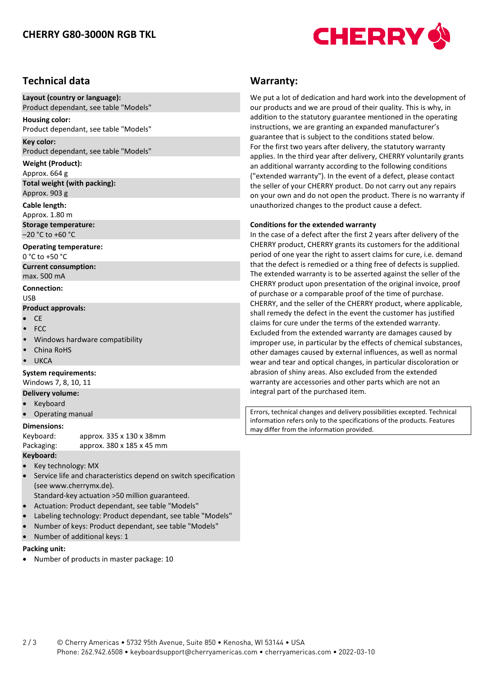

# **Technical data**

#### **Layout (country or language):** Product dependant, see table "Models"

**Housing color:**  Product dependant, see table "Models"

#### **Key color:**

Product dependant, see table "Models"

## **Weight (Product):**

Approx. 664 g **Total weight (with packing):** Approx. 903 g

#### **Cable length:**

Approx. 1.80 m **Storage temperature:**  –20 °C to +60 °C

### **Operating temperature:**

0 °C to +50 °C **Current consumption:**  max. 500 mA

#### **Connection:**

## USB

## **Product approvals:**

- CE
- FCC
- Windows hardware compatibility
- China RoHS
- **UKCA**

## **System requirements:**

Windows 7, 8, 10, 11

- **Delivery volume:**
- **Keyboard**
- Operating manual

### **Dimensions:**

Keyboard: approx. 335 x 130 x 38mm Packaging: approx. 380 x 185 x 45 mm

## **Keyboard:**

- Key technology: MX
- Service life and characteristics depend on switch specification (see www.cherrymx.de).

Standard-key actuation >50 million guaranteed.

- Actuation: Product dependant, see table "Models"
- Labeling technology: Product dependant, see table "Models"
- Number of keys: Product dependant, see table "Models"
- Number of additional keys: 1

#### **Packing unit:**

• Number of products in master package: 10

## **Warranty:**

We put a lot of dedication and hard work into the development of our products and we are proud of their quality. This is why, in addition to the statutory guarantee mentioned in the operating instructions, we are granting an expanded manufacturer's guarantee that is subject to the conditions stated below. For the first two years after delivery, the statutory warranty applies. In the third year after delivery, CHERRY voluntarily grants an additional warranty according to the following conditions ("extended warranty"). In the event of a defect, please contact the seller of your CHERRY product. Do not carry out any repairs on your own and do not open the product. There is no warranty if unauthorized changes to the product cause a defect.

### **Conditions for the extended warranty**

In the case of a defect after the first 2 years after delivery of the CHERRY product, CHERRY grants its customers for the additional period of one year the right to assert claims for cure, i.e. demand that the defect is remedied or a thing free of defects is supplied. The extended warranty is to be asserted against the seller of the CHERRY product upon presentation of the original invoice, proof of purchase or a comparable proof of the time of purchase. CHERRY, and the seller of the CHERRY product, where applicable, shall remedy the defect in the event the customer has justified claims for cure under the terms of the extended warranty. Excluded from the extended warranty are damages caused by improper use, in particular by the effects of chemical substances, other damages caused by external influences, as well as normal wear and tear and optical changes, in particular discoloration or abrasion of shiny areas. Also excluded from the extended warranty are accessories and other parts which are not an integral part of the purchased item.

Errors, technical changes and delivery possibilities excepted. Technical information refers only to the specifications of the products. Features may differ from the information provided.